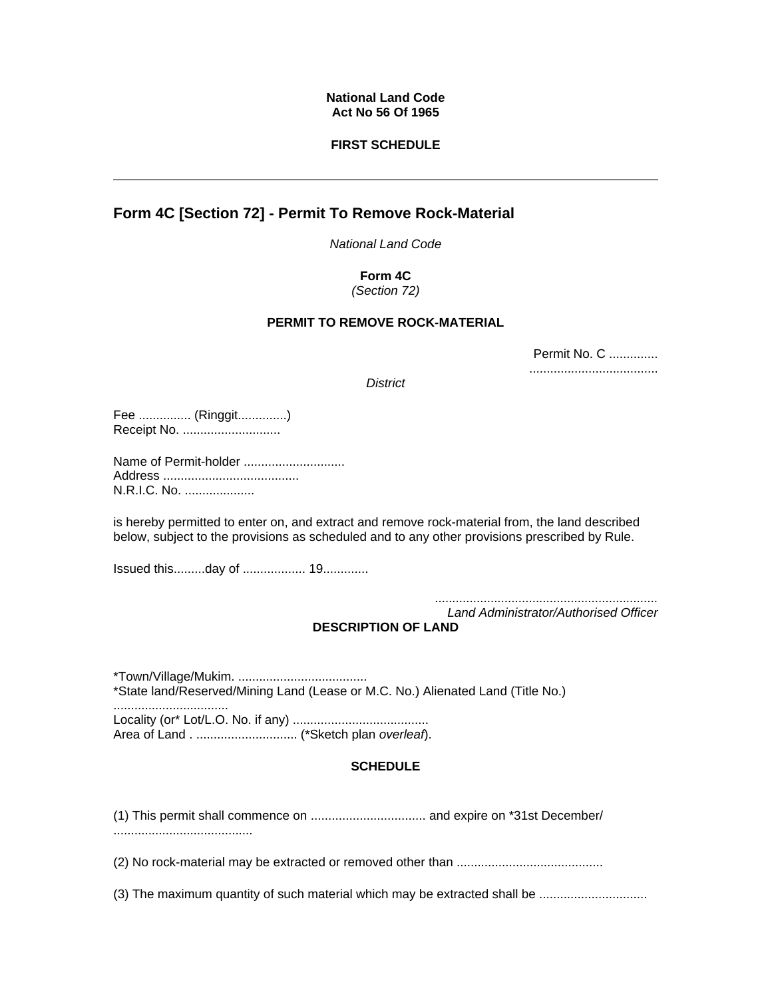## **National Land Code Act No 56 Of 1965**

## **FIRST SCHEDULE**

# **Form 4C [Section 72] - Permit To Remove Rock-Material**

*National Land Code* 

#### **Form 4C** *(Section 72)*

## **PERMIT TO REMOVE ROCK-MATERIAL**

| Permit No. C |
|--------------|
|              |

*District*

Fee ............... (Ringgit..............) Receipt No. ............................

Name of Permit-holder ............................. Address ....................................... N.R.I.C. No. ....................

is hereby permitted to enter on, and extract and remove rock-material from, the land described below, subject to the provisions as scheduled and to any other provisions prescribed by Rule.

Issued this.........day of .................. 19.............

*................................................................ Land Administrator/Authorised Officer*

## **DESCRIPTION OF LAND**

\*Town/Village/Mukim. ..................................... \*State land/Reserved/Mining Land (Lease or M.C. No.) Alienated Land (Title No.) ................................. Locality (or\* Lot/L.O. No. if any) ....................................... Area of Land . ............................. (\*Sketch plan *overleaf*).

## **SCHEDULE**

(1) This permit shall commence on ................................. and expire on \*31st December/ ........................................

(2) No rock-material may be extracted or removed other than ..........................................

(3) The maximum quantity of such material which may be extracted shall be ...............................